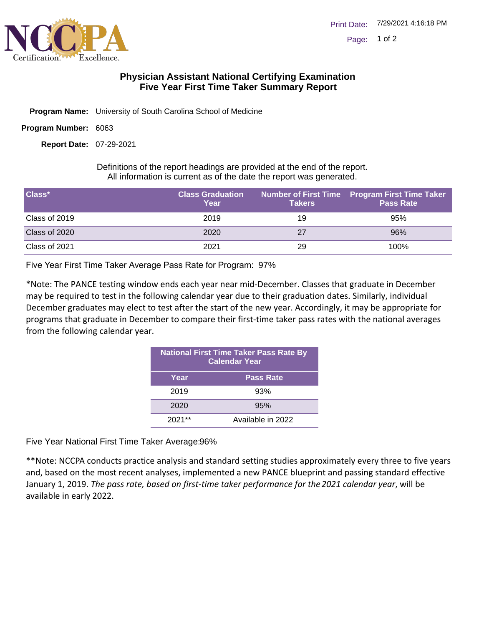

## **Physician Assistant National Certifying Examination Five Year First Time Taker Summary Report**

- Program Name: University of South Carolina School of Medicine
- Program Number: 6063

07-29-2021 **Report Date:**

Definitions of the report headings are provided at the end of the report. All information is current as of the date the report was generated.

| Class*        | <b>Class Graduation</b><br>Year | <b>Takers</b> | <b>Number of First Time Program First Time Taker</b><br><b>Pass Rate</b> |
|---------------|---------------------------------|---------------|--------------------------------------------------------------------------|
| Class of 2019 | 2019                            | 19            | 95%                                                                      |
| Class of 2020 | 2020                            | 27            | 96%                                                                      |
| Class of 2021 | 2021                            | 29            | 100%                                                                     |

Five Year First Time Taker Average Pass Rate for Program: 97%

\*Note: The PANCE testing window ends each year near mid-December. Classes that graduate in December may be required to test in the following calendar year due to their graduation dates. Similarly, individual December graduates may elect to test after the start of the new year. Accordingly, it may be appropriate for programs that graduate in December to compare their first-time taker pass rates with the national averages from the following calendar year.

| <b>National First Time Taker Pass Rate By</b><br><b>Calendar Year</b> |                   |  |
|-----------------------------------------------------------------------|-------------------|--|
| Year                                                                  | <b>Pass Rate</b>  |  |
| 2019                                                                  | 93%               |  |
| 2020                                                                  | 95%               |  |
| $2021**$                                                              | Available in 2022 |  |

Five Year National First Time Taker Average: 96%

\*\*Note: NCCPA conducts practice analysis and standard setting studies approximately every three to five years and, based on the most recent analyses, implemented a new PANCE blueprint and passing standard effective January 1, 2019. *The pass rate, based on first-time taker performance for the 2021 calendar year*, will be available in early 2022.